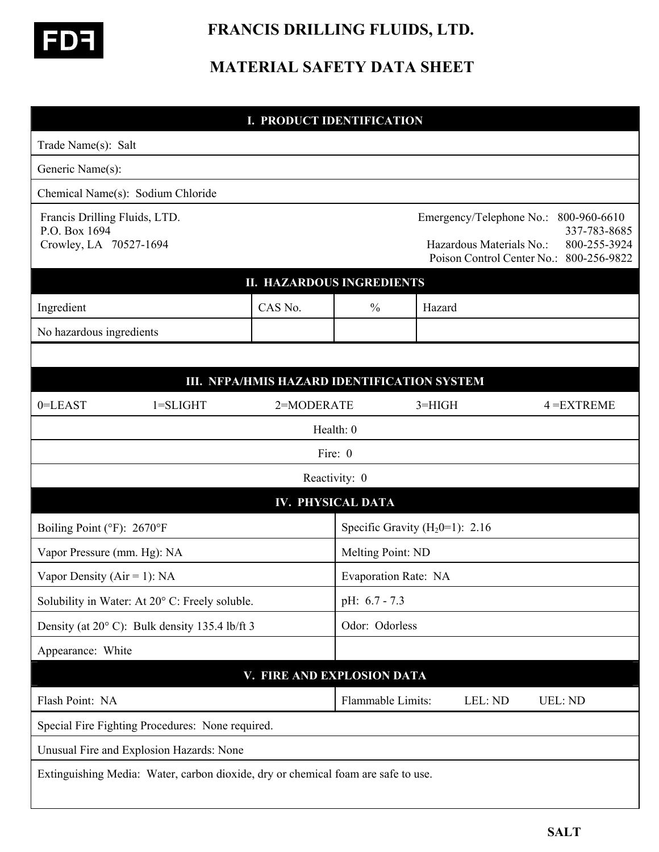

 **FRANCIS DRILLING FLUIDS, LTD.** 

## **MATERIAL SAFETY DATA SHEET**

| <b>I. PRODUCT IDENTIFICATION</b>                                         |                                                                                   |                                             |                          |                                     |                          |                                                                                                                  |
|--------------------------------------------------------------------------|-----------------------------------------------------------------------------------|---------------------------------------------|--------------------------|-------------------------------------|--------------------------|------------------------------------------------------------------------------------------------------------------|
| Trade Name(s): Salt                                                      |                                                                                   |                                             |                          |                                     |                          |                                                                                                                  |
| Generic Name(s):                                                         |                                                                                   |                                             |                          |                                     |                          |                                                                                                                  |
| Chemical Name(s): Sodium Chloride                                        |                                                                                   |                                             |                          |                                     |                          |                                                                                                                  |
| Francis Drilling Fluids, LTD.<br>P.O. Box 1694<br>Crowley, LA 70527-1694 |                                                                                   |                                             |                          |                                     | Hazardous Materials No.: | Emergency/Telephone No.: 800-960-6610<br>337-783-8685<br>800-255-3924<br>Poison Control Center No.: 800-256-9822 |
|                                                                          |                                                                                   | <b>II. HAZARDOUS INGREDIENTS</b>            |                          |                                     |                          |                                                                                                                  |
| Ingredient                                                               |                                                                                   | CAS No.                                     | $\frac{0}{0}$            | Hazard                              |                          |                                                                                                                  |
| No hazardous ingredients                                                 |                                                                                   |                                             |                          |                                     |                          |                                                                                                                  |
|                                                                          |                                                                                   |                                             |                          |                                     |                          |                                                                                                                  |
|                                                                          |                                                                                   | III. NFPA/HMIS HAZARD IDENTIFICATION SYSTEM |                          |                                     |                          |                                                                                                                  |
| 0=LEAST                                                                  | $1 = SLIGHT$                                                                      | 2=MODERATE                                  |                          | $3 = HIGH$                          |                          | $4 = EXTREME$                                                                                                    |
|                                                                          |                                                                                   |                                             | Health: 0                |                                     |                          |                                                                                                                  |
|                                                                          |                                                                                   |                                             | Fire: 0                  |                                     |                          |                                                                                                                  |
|                                                                          |                                                                                   |                                             | Reactivity: 0            |                                     |                          |                                                                                                                  |
|                                                                          |                                                                                   |                                             | <b>IV. PHYSICAL DATA</b> |                                     |                          |                                                                                                                  |
| Boiling Point (°F): 2670°F                                               |                                                                                   |                                             |                          | Specific Gravity ( $H_2$ 0=1): 2.16 |                          |                                                                                                                  |
| Vapor Pressure (mm. Hg): NA                                              |                                                                                   |                                             |                          | Melting Point: ND                   |                          |                                                                                                                  |
| Vapor Density ( $Air = 1$ ): NA                                          |                                                                                   |                                             |                          | Evaporation Rate: NA                |                          |                                                                                                                  |
| Solubility in Water: At 20° C: Freely soluble.                           |                                                                                   |                                             |                          | pH: 6.7 - 7.3                       |                          |                                                                                                                  |
| Density (at 20°C): Bulk density 135.4 lb/ft 3                            |                                                                                   |                                             |                          | Odor: Odorless                      |                          |                                                                                                                  |
| Appearance: White                                                        |                                                                                   |                                             |                          |                                     |                          |                                                                                                                  |
|                                                                          |                                                                                   | V. FIRE AND EXPLOSION DATA                  |                          |                                     |                          |                                                                                                                  |
| Flash Point: NA                                                          |                                                                                   |                                             | Flammable Limits:        |                                     | LEL: ND                  | <b>UEL: ND</b>                                                                                                   |
|                                                                          | Special Fire Fighting Procedures: None required.                                  |                                             |                          |                                     |                          |                                                                                                                  |
|                                                                          | Unusual Fire and Explosion Hazards: None                                          |                                             |                          |                                     |                          |                                                                                                                  |
|                                                                          | Extinguishing Media: Water, carbon dioxide, dry or chemical foam are safe to use. |                                             |                          |                                     |                          |                                                                                                                  |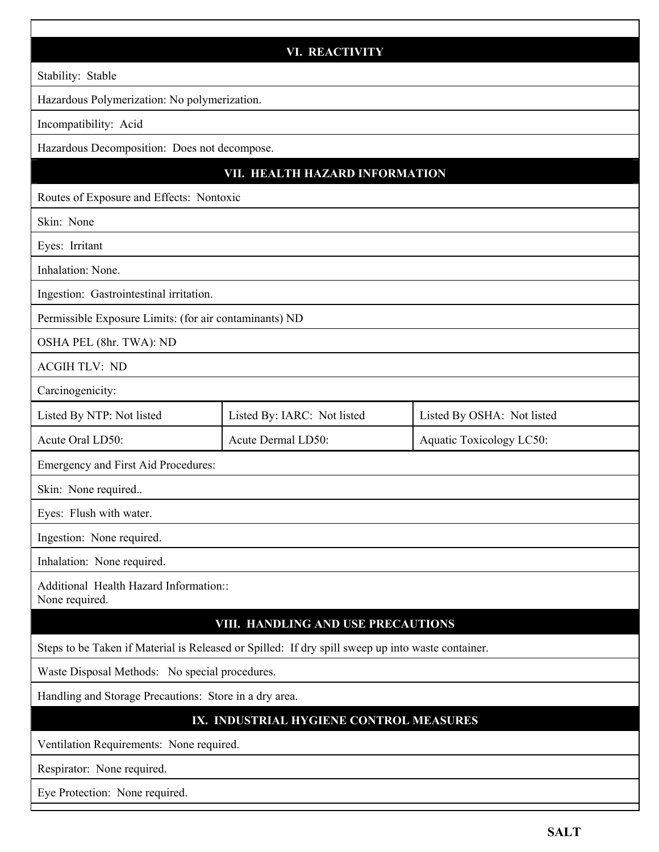|                                                                                                   | <b>VI. REACTIVITY</b>       |                            |  |  |  |  |
|---------------------------------------------------------------------------------------------------|-----------------------------|----------------------------|--|--|--|--|
| Stability: Stable                                                                                 |                             |                            |  |  |  |  |
| Hazardous Polymerization: No polymerization.                                                      |                             |                            |  |  |  |  |
| Incompatibility: Acid                                                                             |                             |                            |  |  |  |  |
| Hazardous Decomposition: Does not decompose.                                                      |                             |                            |  |  |  |  |
| VII. HEALTH HAZARD INFORMATION                                                                    |                             |                            |  |  |  |  |
| Routes of Exposure and Effects: Nontoxic                                                          |                             |                            |  |  |  |  |
| Skin: None                                                                                        |                             |                            |  |  |  |  |
| Eyes: Irritant                                                                                    |                             |                            |  |  |  |  |
| Inhalation: None.                                                                                 |                             |                            |  |  |  |  |
| Ingestion: Gastrointestinal irritation.                                                           |                             |                            |  |  |  |  |
| Permissible Exposure Limits: (for air contaminants) ND                                            |                             |                            |  |  |  |  |
| OSHA PEL (8hr. TWA): ND                                                                           |                             |                            |  |  |  |  |
| <b>ACGIH TLV: ND</b>                                                                              |                             |                            |  |  |  |  |
| Carcinogenicity:                                                                                  |                             |                            |  |  |  |  |
| Listed By NTP: Not listed                                                                         | Listed By: IARC: Not listed | Listed By OSHA: Not listed |  |  |  |  |
| Acute Oral LD50:                                                                                  | Acute Dermal LD50:          |                            |  |  |  |  |
| Emergency and First Aid Procedures:                                                               |                             |                            |  |  |  |  |
| Skin: None required                                                                               |                             |                            |  |  |  |  |
| Eyes: Flush with water.                                                                           |                             |                            |  |  |  |  |
| Ingestion: None required.                                                                         |                             |                            |  |  |  |  |
| Inhalation: None required.                                                                        |                             |                            |  |  |  |  |
| Additional Health Hazard Information::<br>None required.                                          |                             |                            |  |  |  |  |
| VIII. HANDLING AND USE PRECAUTIONS                                                                |                             |                            |  |  |  |  |
| Steps to be Taken if Material is Released or Spilled: If dry spill sweep up into waste container. |                             |                            |  |  |  |  |
| Waste Disposal Methods: No special procedures.                                                    |                             |                            |  |  |  |  |
| Handling and Storage Precautions: Store in a dry area.                                            |                             |                            |  |  |  |  |
| IX. INDUSTRIAL HYGIENE CONTROL MEASURES                                                           |                             |                            |  |  |  |  |
| Ventilation Requirements: None required.                                                          |                             |                            |  |  |  |  |
| Respirator: None required.                                                                        |                             |                            |  |  |  |  |
| Eye Protection: None required.                                                                    |                             |                            |  |  |  |  |